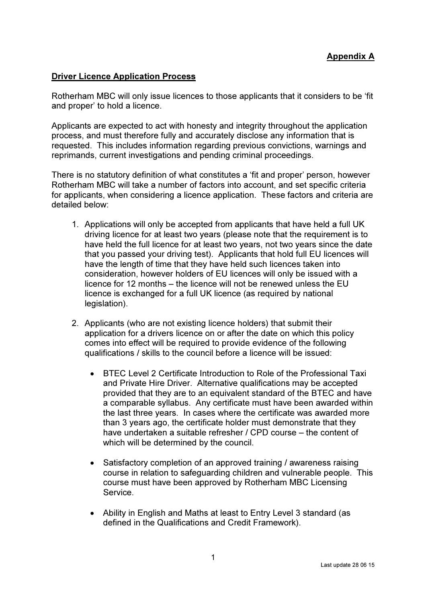## Driver Licence Application Process

Rotherham MBC will only issue licences to those applicants that it considers to be 'fit and proper' to hold a licence.

Applicants are expected to act with honesty and integrity throughout the application process, and must therefore fully and accurately disclose any information that is requested. This includes information regarding previous convictions, warnings and reprimands, current investigations and pending criminal proceedings.

There is no statutory definition of what constitutes a 'fit and proper' person, however Rotherham MBC will take a number of factors into account, and set specific criteria for applicants, when considering a licence application. These factors and criteria are detailed below:

- 1. Applications will only be accepted from applicants that have held a full UK driving licence for at least two years (please note that the requirement is to have held the full licence for at least two years, not two years since the date that you passed your driving test). Applicants that hold full EU licences will have the length of time that they have held such licences taken into consideration, however holders of EU licences will only be issued with a licence for 12 months – the licence will not be renewed unless the EU licence is exchanged for a full UK licence (as required by national legislation).
- 2. Applicants (who are not existing licence holders) that submit their application for a drivers licence on or after the date on which this policy comes into effect will be required to provide evidence of the following qualifications / skills to the council before a licence will be issued:
	- BTEC Level 2 Certificate Introduction to Role of the Professional Taxi and Private Hire Driver. Alternative qualifications may be accepted provided that they are to an equivalent standard of the BTEC and have a comparable syllabus. Any certificate must have been awarded within the last three years. In cases where the certificate was awarded more than 3 years ago, the certificate holder must demonstrate that they have undertaken a suitable refresher / CPD course – the content of which will be determined by the council.
	- Satisfactory completion of an approved training / awareness raising course in relation to safeguarding children and vulnerable people. This course must have been approved by Rotherham MBC Licensing Service.
	- Ability in English and Maths at least to Entry Level 3 standard (as defined in the Qualifications and Credit Framework).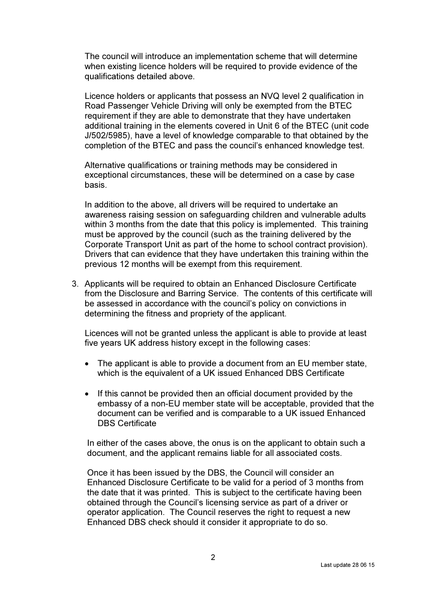The council will introduce an implementation scheme that will determine when existing licence holders will be required to provide evidence of the qualifications detailed above.

Licence holders or applicants that possess an NVQ level 2 qualification in Road Passenger Vehicle Driving will only be exempted from the BTEC requirement if they are able to demonstrate that they have undertaken additional training in the elements covered in Unit 6 of the BTEC (unit code J/502/5985), have a level of knowledge comparable to that obtained by the completion of the BTEC and pass the council's enhanced knowledge test.

Alternative qualifications or training methods may be considered in exceptional circumstances, these will be determined on a case by case basis.

In addition to the above, all drivers will be required to undertake an awareness raising session on safeguarding children and vulnerable adults within 3 months from the date that this policy is implemented. This training must be approved by the council (such as the training delivered by the Corporate Transport Unit as part of the home to school contract provision). Drivers that can evidence that they have undertaken this training within the previous 12 months will be exempt from this requirement.

3. Applicants will be required to obtain an Enhanced Disclosure Certificate from the Disclosure and Barring Service. The contents of this certificate will be assessed in accordance with the council's policy on convictions in determining the fitness and propriety of the applicant.

Licences will not be granted unless the applicant is able to provide at least five years UK address history except in the following cases:

- The applicant is able to provide a document from an EU member state, which is the equivalent of a UK issued Enhanced DBS Certificate
- If this cannot be provided then an official document provided by the embassy of a non-EU member state will be acceptable, provided that the document can be verified and is comparable to a UK issued Enhanced DBS Certificate

In either of the cases above, the onus is on the applicant to obtain such a document, and the applicant remains liable for all associated costs.

Once it has been issued by the DBS, the Council will consider an Enhanced Disclosure Certificate to be valid for a period of 3 months from the date that it was printed. This is subject to the certificate having been obtained through the Council's licensing service as part of a driver or operator application. The Council reserves the right to request a new Enhanced DBS check should it consider it appropriate to do so.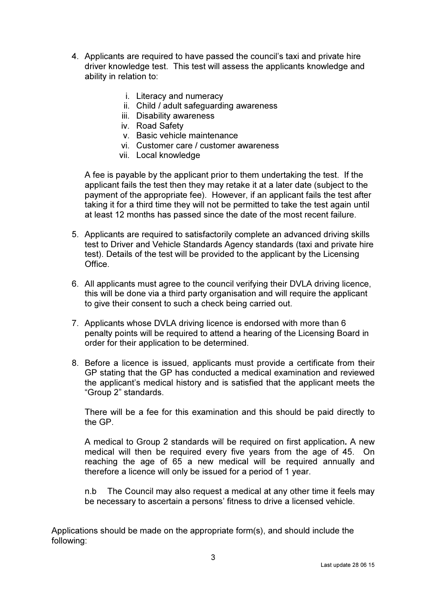- 4. Applicants are required to have passed the council's taxi and private hire driver knowledge test. This test will assess the applicants knowledge and ability in relation to:
	- i. Literacy and numeracy
	- ii. Child / adult safeguarding awareness
	- iii. Disability awareness
	- iv. Road Safety
	- v. Basic vehicle maintenance
	- vi. Customer care / customer awareness
	- vii. Local knowledge

A fee is payable by the applicant prior to them undertaking the test. If the applicant fails the test then they may retake it at a later date (subject to the payment of the appropriate fee). However, if an applicant fails the test after taking it for a third time they will not be permitted to take the test again until at least 12 months has passed since the date of the most recent failure.

- 5. Applicants are required to satisfactorily complete an advanced driving skills test to Driver and Vehicle Standards Agency standards (taxi and private hire test). Details of the test will be provided to the applicant by the Licensing Office.
- 6. All applicants must agree to the council verifying their DVLA driving licence, this will be done via a third party organisation and will require the applicant to give their consent to such a check being carried out.
- 7. Applicants whose DVLA driving licence is endorsed with more than 6 penalty points will be required to attend a hearing of the Licensing Board in order for their application to be determined.
- 8. Before a licence is issued, applicants must provide a certificate from their GP stating that the GP has conducted a medical examination and reviewed the applicant's medical history and is satisfied that the applicant meets the "Group 2" standards.

There will be a fee for this examination and this should be paid directly to the GP.

A medical to Group 2 standards will be required on first application. A new medical will then be required every five years from the age of 45. On reaching the age of 65 a new medical will be required annually and therefore a licence will only be issued for a period of 1 year.

n.b The Council may also request a medical at any other time it feels may be necessary to ascertain a persons' fitness to drive a licensed vehicle.

Applications should be made on the appropriate form(s), and should include the following: